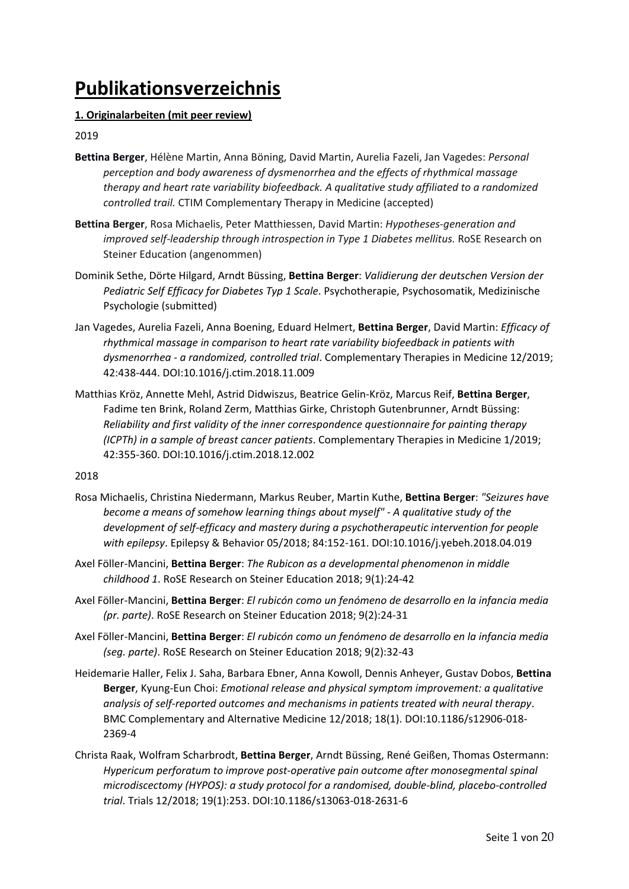# **Publikationsverzeichnis**

# **1. Originalarbeiten (mit peer review)**

# 2019

- **Bettina Berger**, Hélène Martin, Anna Böning, David Martin, Aurelia Fazeli, Jan Vagedes: *Personal perception and body awareness of dysmenorrhea and the effects of rhythmical massage therapy and heart rate variability biofeedback. A qualitative study affiliated to a randomized controlled trail.* CTIM Complementary Therapy in Medicine (accepted)
- **Bettina Berger**, Rosa Michaelis, Peter Matthiessen, David Martin: *Hypotheses-generation and improved self-leadership through introspection in Type 1 Diabetes mellitus.* RoSE Research on Steiner Education (angenommen)
- Dominik Sethe, Dörte Hilgard, Arndt Büssing, **Bettina Berger**: *Validierung der deutschen Version der Pediatric Self Efficacy for Diabetes Typ 1 Scale*. Psychotherapie, Psychosomatik, Medizinische Psychologie (submitted)
- Jan Vagedes, Aurelia Fazeli, Anna Boening, Eduard Helmert, **Bettina Berger**, David Martin: *Efficacy of rhythmical massage in comparison to heart rate variability biofeedback in patients with dysmenorrhea - a randomized, controlled trial*. Complementary Therapies in Medicine 12/2019; 42:438-444. DOI:10.1016/j.ctim.2018.11.009
- Matthias Kröz, Annette Mehl, Astrid Didwiszus, Beatrice Gelin-Kröz, Marcus Reif, **Bettina Berger**, Fadime ten Brink, Roland Zerm, Matthias Girke, Christoph Gutenbrunner, Arndt Büssing: *Reliability and first validity of the inner correspondence questionnaire for painting therapy (ICPTh) in a sample of breast cancer patients*. Complementary Therapies in Medicine 1/2019; 42:355-360. DOI:10.1016/j.ctim.2018.12.002

- Rosa Michaelis, Christina Niedermann, Markus Reuber, Martin Kuthe, **Bettina Berger**: *"Seizures have become a means of somehow learning things about myself" - A qualitative study of the development of self-efficacy and mastery during a psychotherapeutic intervention for people with epilepsy*. Epilepsy & Behavior 05/2018; 84:152-161. DOI:10.1016/j.yebeh.2018.04.019
- Axel Föller-Mancini, **Bettina Berger**: *The Rubicon as a developmental phenomenon in middle childhood 1*. RoSE Research on Steiner Education 2018; 9(1):24-42
- Axel Föller-Mancini, **Bettina Berger**: *El rubicón como un fenómeno de desarrollo en la infancia media (pr. parte)*. RoSE Research on Steiner Education 2018; 9(2):24-31
- Axel Föller-Mancini, **Bettina Berger**: *El rubicón como un fenómeno de desarrollo en la infancia media (seg. parte)*. RoSE Research on Steiner Education 2018; 9(2):32-43
- Heidemarie Haller, Felix J. Saha, Barbara Ebner, Anna Kowoll, Dennis Anheyer, Gustav Dobos, **Bettina Berger**, Kyung-Eun Choi: *Emotional release and physical symptom improvement: a qualitative analysis of self-reported outcomes and mechanisms in patients treated with neural therapy*. BMC Complementary and Alternative Medicine 12/2018; 18(1). DOI:10.1186/s12906-018- 2369-4
- Christa Raak, Wolfram Scharbrodt, **Bettina Berger**, Arndt Büssing, René Geißen, Thomas Ostermann: *Hypericum perforatum to improve post-operative pain outcome after monosegmental spinal microdiscectomy (HYPOS): a study protocol for a randomised, double-blind, placebo-controlled trial*. Trials 12/2018; 19(1):253. DOI:10.1186/s13063-018-2631-6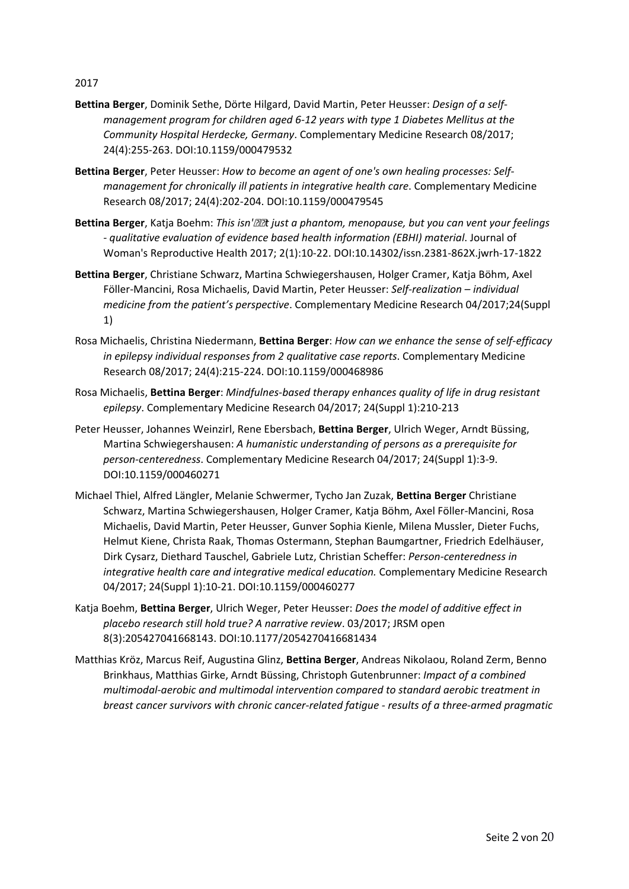- **Bettina Berger**, Dominik Sethe, Dörte Hilgard, David Martin, Peter Heusser: *Design of a selfmanagement program for children aged 6-12 years with type 1 Diabetes Mellitus at the Community Hospital Herdecke, Germany*. Complementary Medicine Research 08/2017; 24(4):255-263. DOI:10.1159/000479532
- **Bettina Berger**, Peter Heusser: *How to become an agent of one's own healing processes: Selfmanagement for chronically ill patients in integrative health care*. Complementary Medicine Research 08/2017; 24(4):202-204. DOI:10.1159/000479545
- Bettina Berger, Katja Boehm: *This isn'<sup>[2]</sup>2t just a phantom, menopause, but you can vent your feelings - qualitative evaluation of evidence based health information (EBHI) material*. Journal of Woman's Reproductive Health 2017; 2(1):10-22. DOI:10.14302/issn.2381-862X.jwrh-17-1822
- **Bettina Berger**, Christiane Schwarz, Martina Schwiegershausen, Holger Cramer, Katja Böhm, Axel Föller-Mancini, Rosa Michaelis, David Martin, Peter Heusser: *Self-realization – individual medicine from the patient's perspective*. Complementary Medicine Research 04/2017;24(Suppl 1)
- Rosa Michaelis, Christina Niedermann, **Bettina Berger**: *How can we enhance the sense of self-efficacy in epilepsy individual responses from 2 qualitative case reports*. Complementary Medicine Research 08/2017; 24(4):215-224. DOI:10.1159/000468986
- Rosa Michaelis, **Bettina Berger**: *Mindfulnes-based therapy enhances quality of life in drug resistant epilepsy*. Complementary Medicine Research 04/2017; 24(Suppl 1):210-213
- Peter Heusser, Johannes Weinzirl, Rene Ebersbach, **Bettina Berger**, Ulrich Weger, Arndt Büssing, Martina Schwiegershausen: *A humanistic understanding of persons as a prerequisite for person-centeredness*. Complementary Medicine Research 04/2017; 24(Suppl 1):3-9. DOI:10.1159/000460271
- Michael Thiel, Alfred Längler, Melanie Schwermer, Tycho Jan Zuzak, **Bettina Berger** Christiane Schwarz, Martina Schwiegershausen, Holger Cramer, Katja Böhm, Axel Föller-Mancini, Rosa Michaelis, David Martin, Peter Heusser, Gunver Sophia Kienle, Milena Mussler, Dieter Fuchs, Helmut Kiene, Christa Raak, Thomas Ostermann, Stephan Baumgartner, Friedrich Edelhäuser, Dirk Cysarz, Diethard Tauschel, Gabriele Lutz, Christian Scheffer: *Person-centeredness in integrative health care and integrative medical education.* Complementary Medicine Research 04/2017; 24(Suppl 1):10-21. DOI:10.1159/000460277
- Katja Boehm, **Bettina Berger**, Ulrich Weger, Peter Heusser: *Does the model of additive effect in placebo research still hold true? A narrative review*. 03/2017; JRSM open 8(3):205427041668143. DOI:10.1177/2054270416681434
- Matthias Kröz, Marcus Reif, Augustina Glinz, **Bettina Berger**, Andreas Nikolaou, Roland Zerm, Benno Brinkhaus, Matthias Girke, Arndt Büssing, Christoph Gutenbrunner: *Impact of a combined multimodal-aerobic and multimodal intervention compared to standard aerobic treatment in breast cancer survivors with chronic cancer-related fatigue - results of a three-armed pragmatic*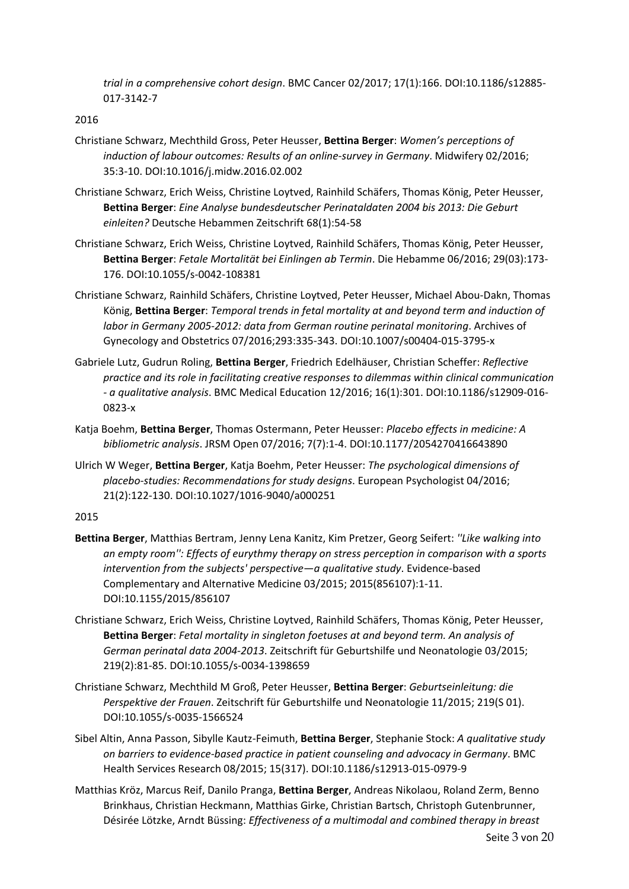*trial in a comprehensive cohort design*. BMC Cancer 02/2017; 17(1):166. DOI:10.1186/s12885- 017-3142-7

# 2016

- Christiane Schwarz, Mechthild Gross, Peter Heusser, **Bettina Berger**: *Women's perceptions of induction of labour outcomes: Results of an online-survey in Germany*. Midwifery 02/2016; 35:3-10. DOI:10.1016/j.midw.2016.02.002
- Christiane Schwarz, Erich Weiss, Christine Loytved, Rainhild Schäfers, Thomas König, Peter Heusser, **Bettina Berger**: *Eine Analyse bundesdeutscher Perinataldaten 2004 bis 2013: Die Geburt einleiten?* Deutsche Hebammen Zeitschrift 68(1):54-58
- Christiane Schwarz, Erich Weiss, Christine Loytved, Rainhild Schäfers, Thomas König, Peter Heusser, **Bettina Berger**: *Fetale Mortalität bei Einlingen ab Termin*. Die Hebamme 06/2016; 29(03):173- 176. DOI:10.1055/s-0042-108381
- Christiane Schwarz, Rainhild Schäfers, Christine Loytved, Peter Heusser, Michael Abou-Dakn, Thomas König, **Bettina Berger**: *Temporal trends in fetal mortality at and beyond term and induction of*  labor in Germany 2005-2012: data from German routine perinatal monitoring. Archives of Gynecology and Obstetrics 07/2016;293:335-343. DOI:10.1007/s00404-015-3795-x
- Gabriele Lutz, Gudrun Roling, **Bettina Berger**, Friedrich Edelhäuser, Christian Scheffer: *Reflective practice and its role in facilitating creative responses to dilemmas within clinical communication - a qualitative analysis*. BMC Medical Education 12/2016; 16(1):301. DOI:10.1186/s12909-016- 0823-x
- Katja Boehm, **Bettina Berger**, Thomas Ostermann, Peter Heusser: *Placebo effects in medicine: A bibliometric analysis*. JRSM Open 07/2016; 7(7):1-4. DOI:10.1177/2054270416643890
- Ulrich W Weger, **Bettina Berger**, Katja Boehm, Peter Heusser: *The psychological dimensions of placebo-studies: Recommendations for study designs*. European Psychologist 04/2016; 21(2):122-130. DOI:10.1027/1016-9040/a000251

- **Bettina Berger**, Matthias Bertram, Jenny Lena Kanitz, Kim Pretzer, Georg Seifert: *''Like walking into an empty room'': Effects of eurythmy therapy on stress perception in comparison with a sports intervention from the subjects' perspective—a qualitative study*. Evidence-based Complementary and Alternative Medicine 03/2015; 2015(856107):1-11. DOI:10.1155/2015/856107
- Christiane Schwarz, Erich Weiss, Christine Loytved, Rainhild Schäfers, Thomas König, Peter Heusser, **Bettina Berger**: *Fetal mortality in singleton foetuses at and beyond term. An analysis of German perinatal data 2004-2013*. Zeitschrift für Geburtshilfe und Neonatologie 03/2015; 219(2):81-85. DOI:10.1055/s-0034-1398659
- Christiane Schwarz, Mechthild M Groß, Peter Heusser, **Bettina Berger**: *Geburtseinleitung: die Perspektive der Frauen*. Zeitschrift für Geburtshilfe und Neonatologie 11/2015; 219(S 01). DOI:10.1055/s-0035-1566524
- Sibel Altin, Anna Passon, Sibylle Kautz-Feimuth, **Bettina Berger**, Stephanie Stock: *A qualitative study on barriers to evidence-based practice in patient counseling and advocacy in Germany*. BMC Health Services Research 08/2015; 15(317). DOI:10.1186/s12913-015-0979-9
- Matthias Kröz, Marcus Reif, Danilo Pranga, **Bettina Berger**, Andreas Nikolaou, Roland Zerm, Benno Brinkhaus, Christian Heckmann, Matthias Girke, Christian Bartsch, Christoph Gutenbrunner, Désirée Lötzke, Arndt Büssing: *Effectiveness of a multimodal and combined therapy in breast*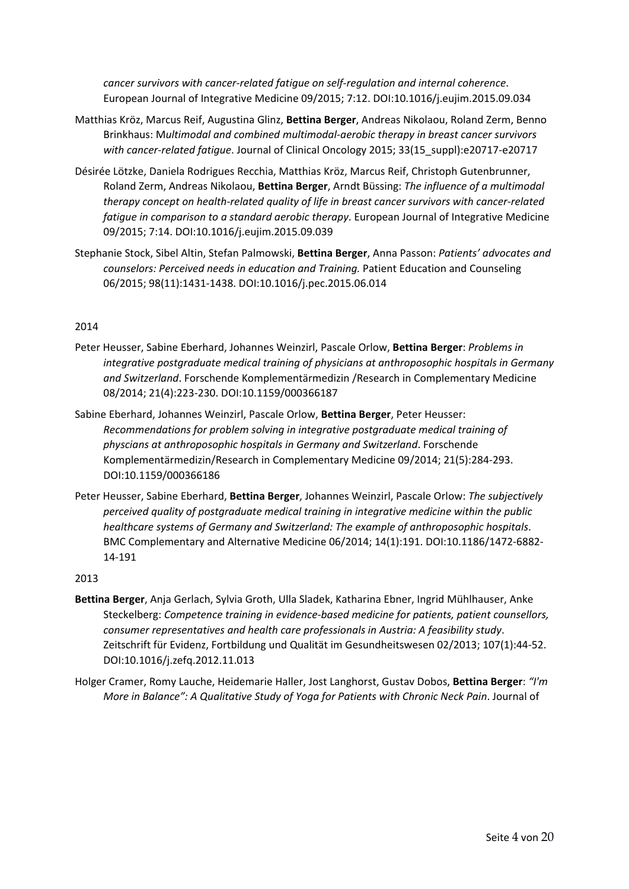*cancer survivors with cancer-related fatigue on self-regulation and internal coherence*. European Journal of Integrative Medicine 09/2015; 7:12. DOI:10.1016/j.eujim.2015.09.034

- Matthias Kröz, Marcus Reif, Augustina Glinz, **Bettina Berger**, Andreas Nikolaou, Roland Zerm, Benno Brinkhaus: M*ultimodal and combined multimodal-aerobic therapy in breast cancer survivors with cancer-related fatigue*. Journal of Clinical Oncology 2015; 33(15\_suppl):e20717-e20717
- Désirée Lötzke, Daniela Rodrigues Recchia, Matthias Kröz, Marcus Reif, Christoph Gutenbrunner, Roland Zerm, Andreas Nikolaou, **Bettina Berger**, Arndt Büssing: *The influence of a multimodal therapy concept on health-related quality of life in breast cancer survivors with cancer-related fatigue in comparison to a standard aerobic therapy*. European Journal of Integrative Medicine 09/2015; 7:14. DOI:10.1016/j.eujim.2015.09.039
- Stephanie Stock, Sibel Altin, Stefan Palmowski, **Bettina Berger**, Anna Passon: *Patients' advocates and counselors: Perceived needs in education and Training.* Patient Education and Counseling 06/2015; 98(11):1431-1438. DOI:10.1016/j.pec.2015.06.014

# 2014

- Peter Heusser, Sabine Eberhard, Johannes Weinzirl, Pascale Orlow, **Bettina Berger**: *Problems in integrative postgraduate medical training of physicians at anthroposophic hospitals in Germany and Switzerland*. Forschende Komplementärmedizin /Research in Complementary Medicine 08/2014; 21(4):223-230. DOI:10.1159/000366187
- Sabine Eberhard, Johannes Weinzirl, Pascale Orlow, **Bettina Berger**, Peter Heusser: *Recommendations for problem solving in integrative postgraduate medical training of physcians at anthroposophic hospitals in Germany and Switzerland*. Forschende Komplementärmedizin/Research in Complementary Medicine 09/2014; 21(5):284-293. DOI:10.1159/000366186
- Peter Heusser, Sabine Eberhard, **Bettina Berger**, Johannes Weinzirl, Pascale Orlow: *The subjectively perceived quality of postgraduate medical training in integrative medicine within the public healthcare systems of Germany and Switzerland: The example of anthroposophic hospitals*. BMC Complementary and Alternative Medicine 06/2014; 14(1):191. DOI:10.1186/1472-6882- 14-191

- **Bettina Berger**, Anja Gerlach, Sylvia Groth, Ulla Sladek, Katharina Ebner, Ingrid Mühlhauser, Anke Steckelberg: *Competence training in evidence-based medicine for patients, patient counsellors, consumer representatives and health care professionals in Austria: A feasibility study*. Zeitschrift für Evidenz, Fortbildung und Qualität im Gesundheitswesen 02/2013; 107(1):44-52. DOI:10.1016/j.zefq.2012.11.013
- Holger Cramer, Romy Lauche, Heidemarie Haller, Jost Langhorst, Gustav Dobos, **Bettina Berger**: *"I'm More in Balance": A Qualitative Study of Yoga for Patients with Chronic Neck Pain*. Journal of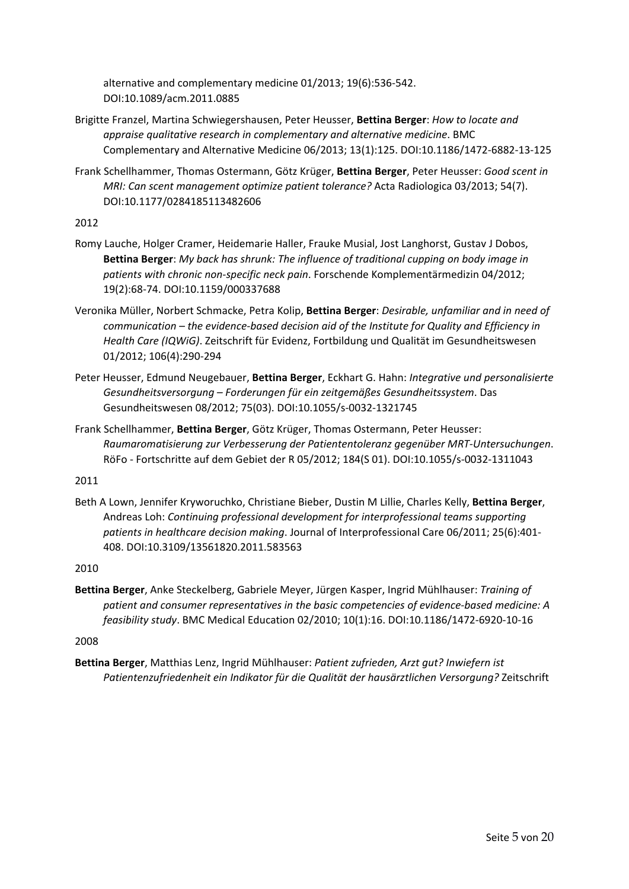alternative and complementary medicine 01/2013; 19(6):536-542. DOI:10.1089/acm.2011.0885

- Brigitte Franzel, Martina Schwiegershausen, Peter Heusser, **Bettina Berger**: *How to locate and appraise qualitative research in complementary and alternative medicine*. BMC Complementary and Alternative Medicine 06/2013; 13(1):125. DOI:10.1186/1472-6882-13-125
- Frank Schellhammer, Thomas Ostermann, Götz Krüger, **Bettina Berger**, Peter Heusser: *Good scent in MRI: Can scent management optimize patient tolerance?* Acta Radiologica 03/2013; 54(7). DOI:10.1177/0284185113482606

# 2012

- Romy Lauche, Holger Cramer, Heidemarie Haller, Frauke Musial, Jost Langhorst, Gustav J Dobos, **Bettina Berger**: *My back has shrunk: The influence of traditional cupping on body image in patients with chronic non-specific neck pain*. Forschende Komplementärmedizin 04/2012; 19(2):68-74. DOI:10.1159/000337688
- Veronika Müller, Norbert Schmacke, Petra Kolip, **Bettina Berger**: *Desirable, unfamiliar and in need of communication – the evidence-based decision aid of the Institute for Quality and Efficiency in Health Care (IQWiG)*. Zeitschrift für Evidenz, Fortbildung und Qualität im Gesundheitswesen 01/2012; 106(4):290-294
- Peter Heusser, Edmund Neugebauer, **Bettina Berger**, Eckhart G. Hahn: *Integrative und personalisierte Gesundheitsversorgung – Forderungen für ein zeitgemäßes Gesundheitssystem*. Das Gesundheitswesen 08/2012; 75(03). DOI:10.1055/s-0032-1321745
- Frank Schellhammer, **Bettina Berger**, Götz Krüger, Thomas Ostermann, Peter Heusser: *Raumaromatisierung zur Verbesserung der Patiententoleranz gegenüber MRT-Untersuchungen*. RöFo - Fortschritte auf dem Gebiet der R 05/2012; 184(S 01). DOI:10.1055/s-0032-1311043

# 2011

Beth A Lown, Jennifer Kryworuchko, Christiane Bieber, Dustin M Lillie, Charles Kelly, **Bettina Berger**, Andreas Loh: *Continuing professional development for interprofessional teams supporting patients in healthcare decision making*. Journal of Interprofessional Care 06/2011; 25(6):401- 408. DOI:10.3109/13561820.2011.583563

# 2010

**Bettina Berger**, Anke Steckelberg, Gabriele Meyer, Jürgen Kasper, Ingrid Mühlhauser: *Training of patient and consumer representatives in the basic competencies of evidence-based medicine: A feasibility study*. BMC Medical Education 02/2010; 10(1):16. DOI:10.1186/1472-6920-10-16

# 2008

**Bettina Berger**, Matthias Lenz, Ingrid Mühlhauser: *Patient zufrieden, Arzt gut? Inwiefern ist Patientenzufriedenheit ein Indikator für die Qualität der hausärztlichen Versorgung?* Zeitschrift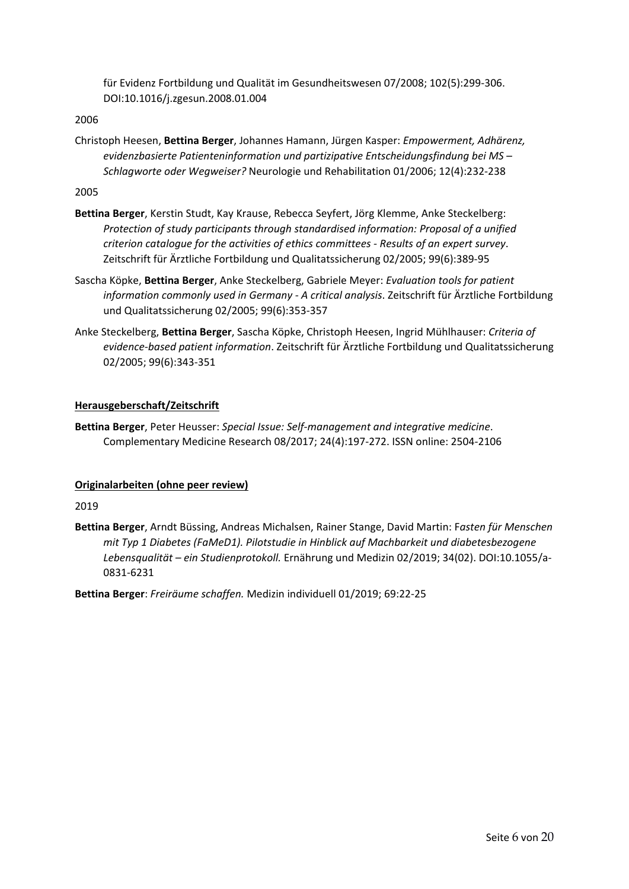für Evidenz Fortbildung und Qualität im Gesundheitswesen 07/2008; 102(5):299-306. DOI:10.1016/j.zgesun.2008.01.004

# 2006

Christoph Heesen, **Bettina Berger**, Johannes Hamann, Jürgen Kasper: *Empowerment, Adhärenz, evidenzbasierte Patienteninformation und partizipative Entscheidungsfindung bei MS – Schlagworte oder Wegweiser?* Neurologie und Rehabilitation 01/2006; 12(4):232-238

# 2005

- **Bettina Berger**, Kerstin Studt, Kay Krause, Rebecca Seyfert, Jörg Klemme, Anke Steckelberg: *Protection of study participants through standardised information: Proposal of a unified criterion catalogue for the activities of ethics committees - Results of an expert survey*. Zeitschrift für Ärztliche Fortbildung und Qualitatssicherung 02/2005; 99(6):389-95
- Sascha Köpke, **Bettina Berger**, Anke Steckelberg, Gabriele Meyer: *Evaluation tools for patient information commonly used in Germany - A critical analysis*. Zeitschrift für Ärztliche Fortbildung und Qualitatssicherung 02/2005; 99(6):353-357
- Anke Steckelberg, **Bettina Berger**, Sascha Köpke, Christoph Heesen, Ingrid Mühlhauser: *Criteria of evidence-based patient information*. Zeitschrift für Ärztliche Fortbildung und Qualitatssicherung 02/2005; 99(6):343-351

# **Herausgeberschaft/Zeitschrift**

**Bettina Berger**, Peter Heusser: *Special Issue: Self-management and integrative medicine*. Complementary Medicine Research 08/2017; 24(4):197-272. ISSN online: 2504-2106

# **Originalarbeiten (ohne peer review)**

# 2019

**Bettina Berger**, Arndt Büssing, Andreas Michalsen, Rainer Stange, David Martin: F*asten für Menschen mit Typ 1 Diabetes (FaMeD1). Pilotstudie in Hinblick auf Machbarkeit und diabetesbezogene Lebensqualität – ein Studienprotokoll.* Ernährung und Medizin 02/2019; 34(02). DOI:10.1055/a-0831-6231

**Bettina Berger**: *Freiräume schaffen.* Medizin individuell 01/2019; 69:22-25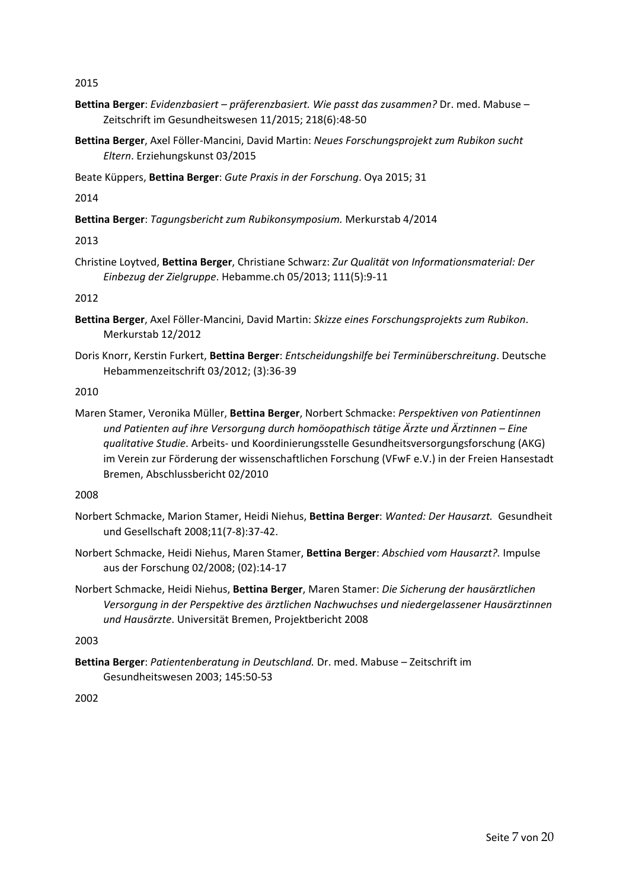2015

- **Bettina Berger**: *Evidenzbasiert – präferenzbasiert. Wie passt das zusammen?* Dr. med. Mabuse Zeitschrift im Gesundheitswesen 11/2015; 218(6):48-50
- **Bettina Berger**, Axel Föller-Mancini, David Martin: *Neues Forschungsprojekt zum Rubikon sucht Eltern*. Erziehungskunst 03/2015

Beate Küppers, **Bettina Berger**: *Gute Praxis in der Forschung*. Oya 2015; 31

2014

**Bettina Berger**: *Tagungsbericht zum Rubikonsymposium.* Merkurstab 4/2014

2013

Christine Loytved, **Bettina Berger**, Christiane Schwarz: *Zur Qualität von Informationsmaterial: Der Einbezug der Zielgruppe*. Hebamme.ch 05/2013; 111(5):9-11

2012

- **Bettina Berger**, Axel Föller-Mancini, David Martin: *Skizze eines Forschungsprojekts zum Rubikon*. Merkurstab 12/2012
- Doris Knorr, Kerstin Furkert, **Bettina Berger**: *Entscheidungshilfe bei Terminüberschreitung*. Deutsche Hebammenzeitschrift 03/2012; (3):36-39

2010

Maren Stamer, Veronika Müller, **Bettina Berger**, Norbert Schmacke: *Perspektiven von Patientinnen und Patienten auf ihre Versorgung durch homöopathisch tätige Ärzte und Ärztinnen – Eine qualitative Studie*. Arbeits- und Koordinierungsstelle Gesundheitsversorgungsforschung (AKG) im Verein zur Förderung der wissenschaftlichen Forschung (VFwF e.V.) in der Freien Hansestadt Bremen, Abschlussbericht 02/2010

2008

- Norbert Schmacke, Marion Stamer, Heidi Niehus, **Bettina Berger**: *Wanted: Der Hausarzt.* Gesundheit und Gesellschaft 2008;11(7-8):37-42.
- Norbert Schmacke, Heidi Niehus, Maren Stamer, **Bettina Berger**: *Abschied vom Hausarzt?.* Impulse aus der Forschung 02/2008; (02):14-17
- Norbert Schmacke, Heidi Niehus, **Bettina Berger**, Maren Stamer: *Die Sicherung der hausärztlichen Versorgung in der Perspektive des ärztlichen Nachwuchses und niedergelassener Hausärztinnen und Hausärzte*. Universität Bremen, Projektbericht 2008

2003

**Bettina Berger**: *Patientenberatung in Deutschland.* Dr. med. Mabuse – Zeitschrift im Gesundheitswesen 2003; 145:50-53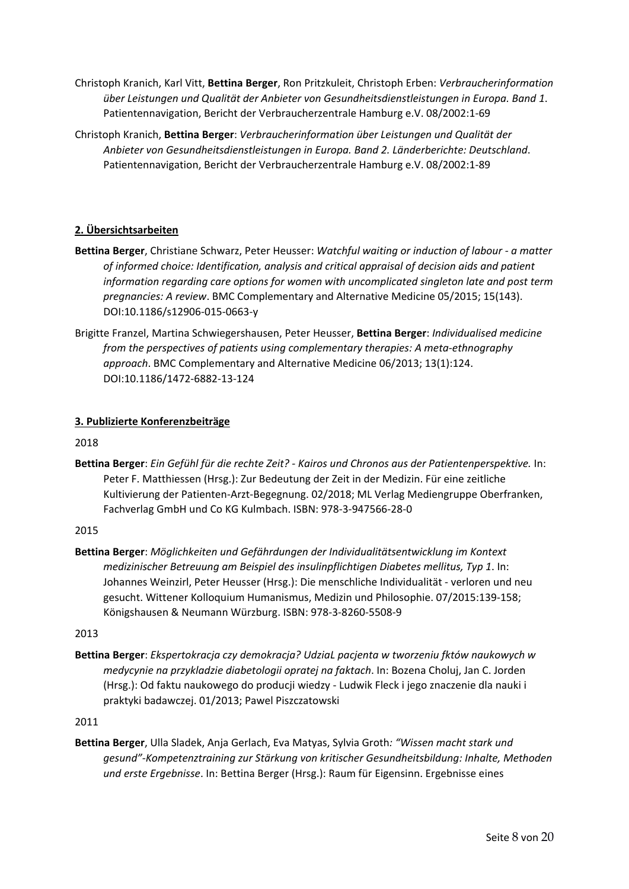- Christoph Kranich, Karl Vitt, **Bettina Berger**, Ron Pritzkuleit, Christoph Erben: *Verbraucherinformation über Leistungen und Qualität der Anbieter von Gesundheitsdienstleistungen in Europa. Band 1*. Patientennavigation, Bericht der Verbraucherzentrale Hamburg e.V. 08/2002:1-69
- Christoph Kranich, **Bettina Berger**: *Verbraucherinformation über Leistungen und Qualität der Anbieter von Gesundheitsdienstleistungen in Europa. Band 2. Länderberichte: Deutschland*. Patientennavigation, Bericht der Verbraucherzentrale Hamburg e.V. 08/2002:1-89

# **2. Übersichtsarbeiten**

- **Bettina Berger**, Christiane Schwarz, Peter Heusser: *Watchful waiting or induction of labour - a matter of informed choice: Identification, analysis and critical appraisal of decision aids and patient information regarding care options for women with uncomplicated singleton late and post term pregnancies: A review*. BMC Complementary and Alternative Medicine 05/2015; 15(143). DOI:10.1186/s12906-015-0663-y
- Brigitte Franzel, Martina Schwiegershausen, Peter Heusser, **Bettina Berger**: *Individualised medicine from the perspectives of patients using complementary therapies: A meta-ethnography approach*. BMC Complementary and Alternative Medicine 06/2013; 13(1):124. DOI:10.1186/1472-6882-13-124

# **3. Publizierte Konferenzbeiträge**

2018

**Bettina Berger**: *Ein Gefühl für die rechte Zeit? - Kairos und Chronos aus der Patientenperspektive.* In: Peter F. Matthiessen (Hrsg.): Zur Bedeutung der Zeit in der Medizin. Für eine zeitliche Kultivierung der Patienten-Arzt-Begegnung. 02/2018; ML Verlag Mediengruppe Oberfranken, Fachverlag GmbH und Co KG Kulmbach. ISBN: 978-3-947566-28-0

2015

**Bettina Berger**: *Möglichkeiten und Gefährdungen der Individualitätsentwicklung im Kontext medizinischer Betreuung am Beispiel des insulinpflichtigen Diabetes mellitus, Typ 1*. In: Johannes Weinzirl, Peter Heusser (Hrsg.): Die menschliche Individualität - verloren und neu gesucht. Wittener Kolloquium Humanismus, Medizin und Philosophie. 07/2015:139-158; Königshausen & Neumann Würzburg. ISBN: 978-3-8260-5508-9

2013

**Bettina Berger**: *Ekspertokracja czy demokracja? UdziaL pacjenta w tworzeniu fktów naukowych w medycynie na przykladzie diabetologii opratej na faktach*. In: Bozena Choluj, Jan C. Jorden (Hrsg.): Od faktu naukowego do producji wiedzy - Ludwik Fleck i jego znaczenie dla nauki i praktyki badawczej. 01/2013; Pawel Piszczatowski

2011

**Bettina Berger**, Ulla Sladek, Anja Gerlach, Eva Matyas, Sylvia Groth*: "Wissen macht stark und gesund"-Kompetenztraining zur Stärkung von kritischer Gesundheitsbildung: Inhalte, Methoden und erste Ergebnisse*. In: Bettina Berger (Hrsg.): Raum für Eigensinn. Ergebnisse eines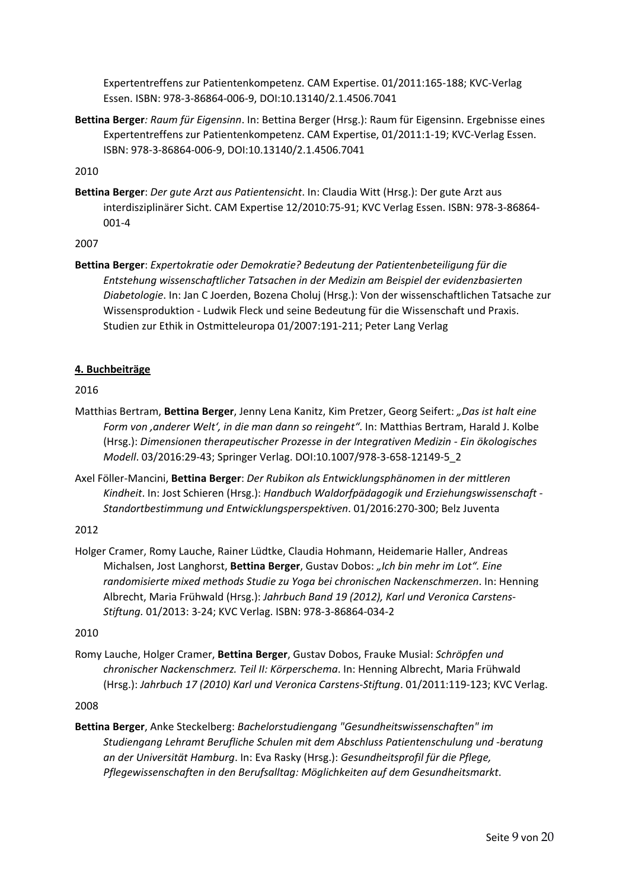Expertentreffens zur Patientenkompetenz. CAM Expertise. 01/2011:165-188; KVC-Verlag Essen. ISBN: 978-3-86864-006-9, DOI:10.13140/2.1.4506.7041

**Bettina Berger***: Raum für Eigensinn*. In: Bettina Berger (Hrsg.): Raum für Eigensinn. Ergebnisse eines Expertentreffens zur Patientenkompetenz. CAM Expertise, 01/2011:1-19; KVC-Verlag Essen. ISBN: 978-3-86864-006-9, DOI:10.13140/2.1.4506.7041

2010

**Bettina Berger**: *Der gute Arzt aus Patientensicht*. In: Claudia Witt (Hrsg.): Der gute Arzt aus interdisziplinärer Sicht. CAM Expertise 12/2010:75-91; KVC Verlag Essen. ISBN: 978-3-86864- 001-4

2007

**Bettina Berger**: *Expertokratie oder Demokratie? Bedeutung der Patientenbeteiligung für die Entstehung wissenschaftlicher Tatsachen in der Medizin am Beispiel der evidenzbasierten Diabetologie*. In: Jan C Joerden, Bozena Choluj (Hrsg.): Von der wissenschaftlichen Tatsache zur Wissensproduktion - Ludwik Fleck und seine Bedeutung für die Wissenschaft und Praxis. Studien zur Ethik in Ostmitteleuropa 01/2007:191-211; Peter Lang Verlag

# **4. Buchbeiträge**

2016

- Matthias Bertram, **Bettina Berger**, Jenny Lena Kanitz, Kim Pretzer, Georg Seifert: *"Das ist halt eine Form von 'anderer Welt', in die man dann so reingeht"*. In: Matthias Bertram, Harald J. Kolbe (Hrsg.): *Dimensionen therapeutischer Prozesse in der Integrativen Medizin - Ein ökologisches Modell*. 03/2016:29-43; Springer Verlag. DOI:10.1007/978-3-658-12149-5\_2
- Axel Föller-Mancini, **Bettina Berger**: *Der Rubikon als Entwicklungsphänomen in der mittleren Kindheit*. In: Jost Schieren (Hrsg.): *Handbuch Waldorfpädagogik und Erziehungswissenschaft - Standortbestimmung und Entwicklungsperspektiven*. 01/2016:270-300; Belz Juventa

# 2012

Holger Cramer, Romy Lauche, Rainer Lüdtke, Claudia Hohmann, Heidemarie Haller, Andreas Michalsen, Jost Langhorst, **Bettina Berger**, Gustav Dobos: *"Ich bin mehr im Lot". Eine randomisierte mixed methods Studie zu Yoga bei chronischen Nackenschmerzen*. In: Henning Albrecht, Maria Frühwald (Hrsg.): *Jahrbuch Band 19 (2012), Karl und Veronica Carstens-Stiftung.* 01/2013: 3-24; KVC Verlag. ISBN: 978-3-86864-034-2

2010

Romy Lauche, Holger Cramer, **Bettina Berger**, Gustav Dobos, Frauke Musial: *Schröpfen und chronischer Nackenschmerz. Teil II: Körperschema*. In: Henning Albrecht, Maria Frühwald (Hrsg.): *Jahrbuch 17 (2010) Karl und Veronica Carstens-Stiftung*. 01/2011:119-123; KVC Verlag.

2008

**Bettina Berger**, Anke Steckelberg: *Bachelorstudiengang "Gesundheitswissenschaften" im Studiengang Lehramt Berufliche Schulen mit dem Abschluss Patientenschulung und -beratung an der Universität Hamburg*. In: Eva Rasky (Hrsg.): *Gesundheitsprofil für die Pflege, Pflegewissenschaften in den Berufsalltag: Möglichkeiten auf dem Gesundheitsmarkt*.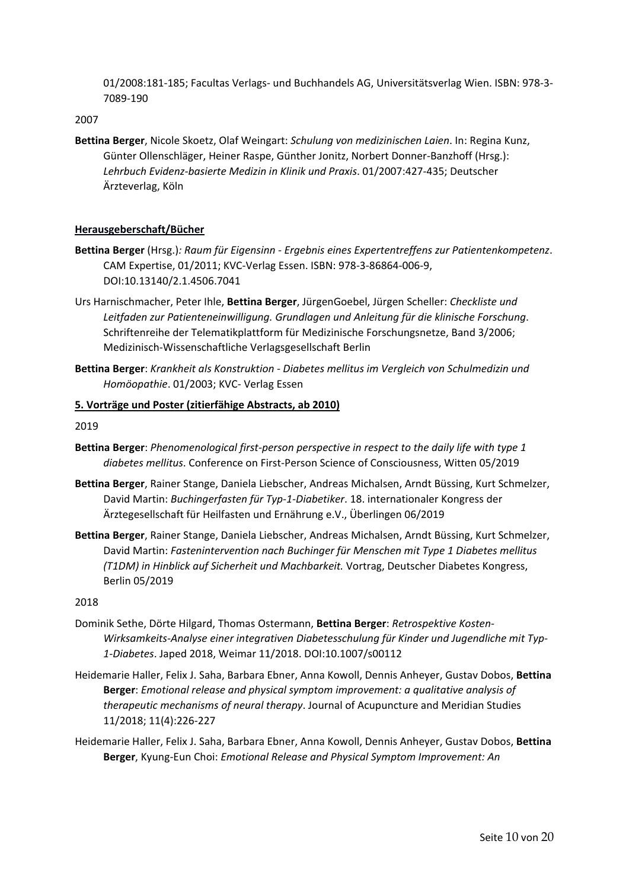01/2008:181-185; Facultas Verlags- und Buchhandels AG, Universitätsverlag Wien. ISBN: 978-3- 7089-190

2007

**Bettina Berger**, Nicole Skoetz, Olaf Weingart: *Schulung von medizinischen Laien*. In: Regina Kunz, Günter Ollenschläger, Heiner Raspe, Günther Jonitz, Norbert Donner-Banzhoff (Hrsg.): *Lehrbuch Evidenz-basierte Medizin in Klinik und Praxis*. 01/2007:427-435; Deutscher Ärzteverlag, Köln

# **Herausgeberschaft/Bücher**

- **Bettina Berger** (Hrsg.)*: Raum für Eigensinn - Ergebnis eines Expertentreffens zur Patientenkompetenz*. CAM Expertise, 01/2011; KVC-Verlag Essen. ISBN: 978-3-86864-006-9, DOI:10.13140/2.1.4506.7041
- Urs Harnischmacher, Peter Ihle, **Bettina Berger**, JürgenGoebel, Jürgen Scheller: *Checkliste und Leitfaden zur Patienteneinwilligung. Grundlagen und Anleitung für die klinische Forschung*. Schriftenreihe der Telematikplattform für Medizinische Forschungsnetze, Band 3/2006; Medizinisch-Wissenschaftliche Verlagsgesellschaft Berlin
- **Bettina Berger**: *Krankheit als Konstruktion - Diabetes mellitus im Vergleich von Schulmedizin und Homöopathie*. 01/2003; KVC- Verlag Essen

#### **5. Vorträge und Poster (zitierfähige Abstracts, ab 2010)**

2019

- **Bettina Berger**: *Phenomenological first-person perspective in respect to the daily life with type 1 diabetes mellitus*. Conference on First-Person Science of Consciousness, Witten 05/2019
- **Bettina Berger**, Rainer Stange, Daniela Liebscher, Andreas Michalsen, Arndt Büssing, Kurt Schmelzer, David Martin: *Buchingerfasten für Typ-1-Diabetiker*. 18. internationaler Kongress der Ärztegesellschaft für Heilfasten und Ernährung e.V., Überlingen 06/2019
- **Bettina Berger**, Rainer Stange, Daniela Liebscher, Andreas Michalsen, Arndt Büssing, Kurt Schmelzer, David Martin: *Fastenintervention nach Buchinger für Menschen mit Type 1 Diabetes mellitus (T1DM) in Hinblick auf Sicherheit und Machbarkeit.* Vortrag, Deutscher Diabetes Kongress, Berlin 05/2019

- Dominik Sethe, Dörte Hilgard, Thomas Ostermann, **Bettina Berger**: *Retrospektive Kosten-Wirksamkeits-Analyse einer integrativen Diabetesschulung für Kinder und Jugendliche mit Typ-1-Diabetes*. Japed 2018, Weimar 11/2018. DOI:10.1007/s00112
- Heidemarie Haller, Felix J. Saha, Barbara Ebner, Anna Kowoll, Dennis Anheyer, Gustav Dobos, **Bettina Berger**: *Emotional release and physical symptom improvement: a qualitative analysis of therapeutic mechanisms of neural therapy*. Journal of Acupuncture and Meridian Studies 11/2018; 11(4):226-227
- Heidemarie Haller, Felix J. Saha, Barbara Ebner, Anna Kowoll, Dennis Anheyer, Gustav Dobos, **Bettina Berger**, Kyung-Eun Choi: *Emotional Release and Physical Symptom Improvement: An*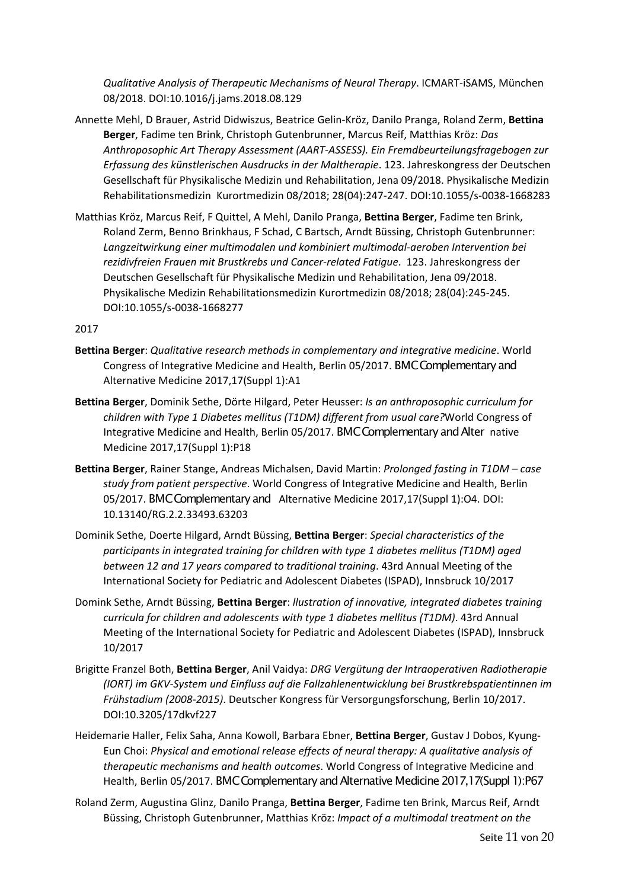*Qualitative Analysis of Therapeutic Mechanisms of Neural Therapy*. ICMART-iSAMS, München 08/2018. DOI:10.1016/j.jams.2018.08.129

- Annette Mehl, D Brauer, Astrid Didwiszus, Beatrice Gelin-Kröz, Danilo Pranga, Roland Zerm, **Bettina Berger**, Fadime ten Brink, Christoph Gutenbrunner, Marcus Reif, Matthias Kröz: *Das Anthroposophic Art Therapy Assessment (AART-ASSESS). Ein Fremdbeurteilungsfragebogen zur Erfassung des künstlerischen Ausdrucks in der Maltherapie*. 123. Jahreskongress der Deutschen Gesellschaft für Physikalische Medizin und Rehabilitation, Jena 09/2018. Physikalische Medizin Rehabilitationsmedizin Kurortmedizin 08/2018; 28(04):247-247. DOI:10.1055/s-0038-1668283
- Matthias Kröz, Marcus Reif, F Quittel, A Mehl, Danilo Pranga, **Bettina Berger**, Fadime ten Brink, Roland Zerm, Benno Brinkhaus, F Schad, C Bartsch, Arndt Büssing, Christoph Gutenbrunner: *Langzeitwirkung einer multimodalen und kombiniert multimodal-aeroben Intervention bei rezidivfreien Frauen mit Brustkrebs und Cancer-related Fatigue*. 123. Jahreskongress der Deutschen Gesellschaft für Physikalische Medizin und Rehabilitation, Jena 09/2018. Physikalische Medizin Rehabilitationsmedizin Kurortmedizin 08/2018; 28(04):245-245. DOI:10.1055/s-0038-1668277

- **Bettina Berger**: *Qualitative research methods in complementary and integrative medicine*. World Congress of Integrative Medicine and Health, Berlin 05/2017. BMC Complementary and Alternative Medicine 2017,17(Suppl 1):A1
- **Bettina Berger**, Dominik Sethe, Dörte Hilgard, Peter Heusser: *Is an anthroposophic curriculum for children with Type 1 Diabetes mellitus (T1DM) different from usual care?*World Congress of Integrative Medicine and Health, Berlin 05/2017. BMC Complementary and Alter native Medicine 2017,17(Suppl 1):P18
- **Bettina Berger**, Rainer Stange, Andreas Michalsen, David Martin: *Prolonged fasting in T1DM – case study from patient perspective*. World Congress of Integrative Medicine and Health, Berlin 05/2017. BMC Complementary and Alternative Medicine 2017,17(Suppl 1):O4. DOI: 10.13140/RG.2.2.33493.63203
- Dominik Sethe, Doerte Hilgard, Arndt Büssing, **Bettina Berger**: *Special characteristics of the participants in integrated training for children with type 1 diabetes mellitus (T1DM) aged between 12 and 17 years compared to traditional training*. 43rd Annual Meeting of the International Society for Pediatric and Adolescent Diabetes (ISPAD), Innsbruck 10/2017
- Domink Sethe, Arndt Büssing, **Bettina Berger**: *llustration of innovative, integrated diabetes training curricula for children and adolescents with type 1 diabetes mellitus (T1DM)*. 43rd Annual Meeting of the International Society for Pediatric and Adolescent Diabetes (ISPAD), Innsbruck 10/2017
- Brigitte Franzel Both, **Bettina Berger**, Anil Vaidya: *DRG Vergütung der Intraoperativen Radiotherapie (IORT) im GKV-System und Einfluss auf die Fallzahlenentwicklung bei Brustkrebspatientinnen im Frühstadium (2008-2015)*. Deutscher Kongress für Versorgungsforschung, Berlin 10/2017. DOI:10.3205/17dkvf227
- Heidemarie Haller, Felix Saha, Anna Kowoll, Barbara Ebner, **Bettina Berger**, Gustav J Dobos, Kyung-Eun Choi: *Physical and emotional release effects of neural therapy: A qualitative analysis of therapeutic mechanisms and health outcomes*. World Congress of Integrative Medicine and Health, Berlin 05/2017. BMC Complementary and Alternative Medicine 2017,17(Suppl 1):P67
- Roland Zerm, Augustina Glinz, Danilo Pranga, **Bettina Berger**, Fadime ten Brink, Marcus Reif, Arndt Büssing, Christoph Gutenbrunner, Matthias Kröz: *Impact of a multimodal treatment on the*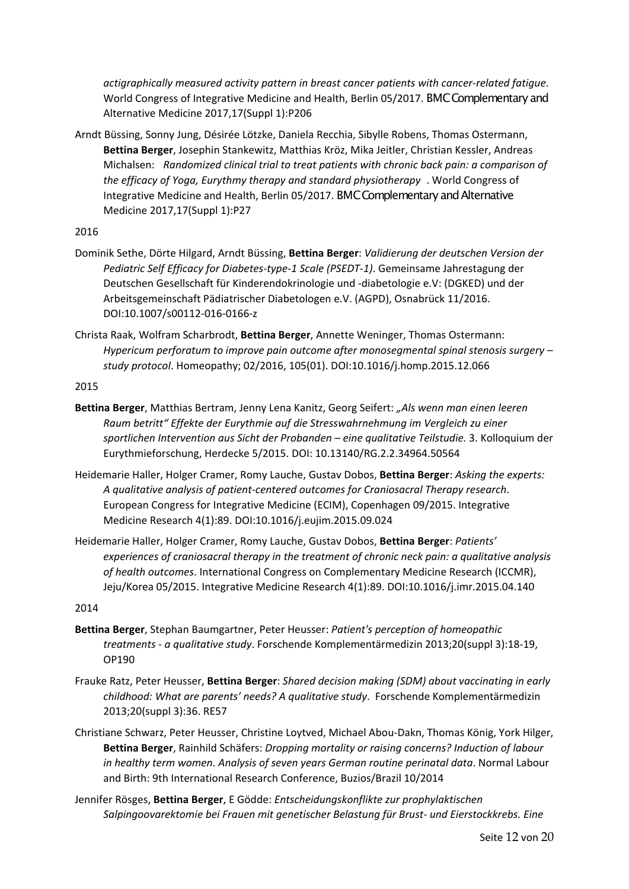*actigraphically measured activity pattern in breast cancer patients with cancer-related fatigue*. World Congress of Integrative Medicine and Health, Berlin 05/2017. BMC Complementary and Alternative Medicine 2017,17(Suppl 1):P206

Arndt Büssing, Sonny Jung, Désirée Lötzke, Daniela Recchia, Sibylle Robens, Thomas Ostermann, **Bettina Berger**, Josephin Stankewitz, Matthias Kröz, Mika Jeitler, Christian Kessler, Andreas Michalsen: *Randomized clinical trial to treat patients with chronic back pain: a comparison of the efficacy of Yoga, Eurythmy therapy and standard physiotherapy* . World Congress of Integrative Medicine and Health, Berlin 05/2017. BMC Complementary and Alternative Medicine 2017,17(Suppl 1):P27

# 2016

- Dominik Sethe, Dörte Hilgard, Arndt Büssing, **Bettina Berger**: *Validierung der deutschen Version der Pediatric Self Efficacy for Diabetes-type-1 Scale (PSEDT-1)*. Gemeinsame Jahrestagung der Deutschen Gesellschaft für Kinderendokrinologie und -diabetologie e.V: (DGKED) und der Arbeitsgemeinschaft Pädiatrischer Diabetologen e.V. (AGPD), Osnabrück 11/2016. DOI:10.1007/s00112-016-0166-z
- Christa Raak, Wolfram Scharbrodt, **Bettina Berger**, Annette Weninger, Thomas Ostermann: *Hypericum perforatum to improve pain outcome after monosegmental spinal stenosis surgery – study protocol*. Homeopathy; 02/2016, 105(01). DOI:10.1016/j.homp.2015.12.066

2015

- **Bettina Berger**, Matthias Bertram, Jenny Lena Kanitz, Georg Seifert: *"Als wenn man einen leeren Raum betritt" Effekte der Eurythmie auf die Stresswahrnehmung im Vergleich zu einer sportlichen Intervention aus Sicht der Probanden – eine qualitative Teilstudie.* 3. Kolloquium der Eurythmieforschung, Herdecke 5/2015. DOI: 10.13140/RG.2.2.34964.50564
- Heidemarie Haller, Holger Cramer, Romy Lauche, Gustav Dobos, **Bettina Berger**: *Asking the experts: A qualitative analysis of patient-centered outcomes for Craniosacral Therapy research*. European Congress for Integrative Medicine (ECIM), Copenhagen 09/2015. Integrative Medicine Research 4(1):89. DOI:10.1016/j.eujim.2015.09.024
- Heidemarie Haller, Holger Cramer, Romy Lauche, Gustav Dobos, **Bettina Berger**: *Patients' experiences of craniosacral therapy in the treatment of chronic neck pain: a qualitative analysis of health outcomes*. International Congress on Complementary Medicine Research (ICCMR), Jeju/Korea 05/2015. Integrative Medicine Research 4(1):89. DOI:10.1016/j.imr.2015.04.140

- **Bettina Berger**, Stephan Baumgartner, Peter Heusser: *Patient's perception of homeopathic treatments - a qualitative study*. Forschende Komplementärmedizin 2013;20(suppl 3):18-19, OP190
- Frauke Ratz, Peter Heusser, **Bettina Berger**: *Shared decision making (SDM) about vaccinating in early childhood: What are parents' needs? A qualitative study*. Forschende Komplementärmedizin 2013;20(suppl 3):36. RE57
- Christiane Schwarz, Peter Heusser, Christine Loytved, Michael Abou-Dakn, Thomas König, York Hilger, **Bettina Berger**, Rainhild Schäfers: *Dropping mortality or raising concerns? Induction of labour in healthy term women. Analysis of seven years German routine perinatal data*. Normal Labour and Birth: 9th International Research Conference, Buzios/Brazil 10/2014
- Jennifer Rösges, **Bettina Berger**, E Gödde: *Entscheidungskonflikte zur prophylaktischen Salpingoovarektomie bei Frauen mit genetischer Belastung für Brust- und Eierstockkrebs. Eine*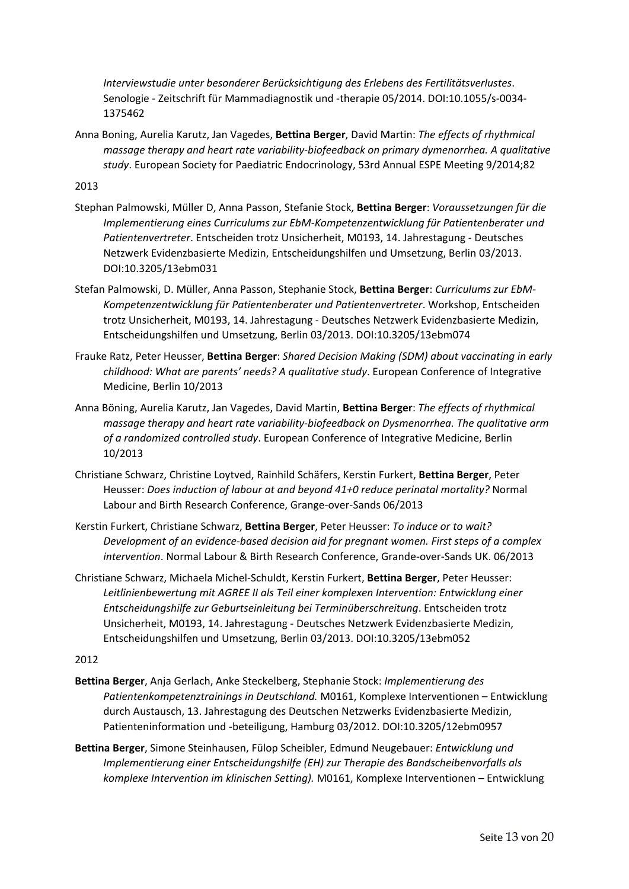*Interviewstudie unter besonderer Berücksichtigung des Erlebens des Fertilitätsverlustes*. Senologie - Zeitschrift für Mammadiagnostik und -therapie 05/2014. DOI:10.1055/s-0034- 1375462

Anna Boning, Aurelia Karutz, Jan Vagedes, **Bettina Berger**, David Martin: *The effects of rhythmical massage therapy and heart rate variability-biofeedback on primary dymenorrhea. A qualitative study*. European Society for Paediatric Endocrinology, 53rd Annual ESPE Meeting 9/2014;82

#### 2013

- Stephan Palmowski, Müller D, Anna Passon, Stefanie Stock, **Bettina Berger**: *Voraussetzungen für die Implementierung eines Curriculums zur EbM-Kompetenzentwicklung für Patientenberater und Patientenvertreter*. Entscheiden trotz Unsicherheit, M0193, 14. Jahrestagung - Deutsches Netzwerk Evidenzbasierte Medizin, Entscheidungshilfen und Umsetzung, Berlin 03/2013. DOI:10.3205/13ebm031
- Stefan Palmowski, D. Müller, Anna Passon, Stephanie Stock, **Bettina Berger**: *Curriculums zur EbM-Kompetenzentwicklung für Patientenberater und Patientenvertreter*. Workshop, Entscheiden trotz Unsicherheit, M0193, 14. Jahrestagung - Deutsches Netzwerk Evidenzbasierte Medizin, Entscheidungshilfen und Umsetzung, Berlin 03/2013. DOI:10.3205/13ebm074
- Frauke Ratz, Peter Heusser, **Bettina Berger**: *Shared Decision Making (SDM) about vaccinating in early childhood: What are parents' needs? A qualitative study*. European Conference of Integrative Medicine, Berlin 10/2013
- Anna Böning, Aurelia Karutz, Jan Vagedes, David Martin, **Bettina Berger**: *The effects of rhythmical massage therapy and heart rate variability-biofeedback on Dysmenorrhea. The qualitative arm of a randomized controlled study*. European Conference of Integrative Medicine, Berlin 10/2013
- Christiane Schwarz, Christine Loytved, Rainhild Schäfers, Kerstin Furkert, **Bettina Berger**, Peter Heusser: *Does induction of labour at and beyond 41+0 reduce perinatal mortality?* Normal Labour and Birth Research Conference, Grange-over-Sands 06/2013
- Kerstin Furkert, Christiane Schwarz, **Bettina Berger**, Peter Heusser: *To induce or to wait? Development of an evidence-based decision aid for pregnant women. First steps of a complex intervention*. Normal Labour & Birth Research Conference, Grande-over-Sands UK. 06/2013
- Christiane Schwarz, Michaela Michel-Schuldt, Kerstin Furkert, **Bettina Berger**, Peter Heusser: *Leitlinienbewertung mit AGREE II als Teil einer komplexen Intervention: Entwicklung einer Entscheidungshilfe zur Geburtseinleitung bei Terminüberschreitung*. Entscheiden trotz Unsicherheit, M0193, 14. Jahrestagung - Deutsches Netzwerk Evidenzbasierte Medizin, Entscheidungshilfen und Umsetzung, Berlin 03/2013. DOI:10.3205/13ebm052

- **Bettina Berger**, Anja Gerlach, Anke Steckelberg, Stephanie Stock: *Implementierung des Patientenkompetenztrainings in Deutschland.* M0161, Komplexe Interventionen – Entwicklung durch Austausch, 13. Jahrestagung des Deutschen Netzwerks Evidenzbasierte Medizin, Patienteninformation und -beteiligung, Hamburg 03/2012. DOI:10.3205/12ebm0957
- **Bettina Berger**, Simone Steinhausen, Fülop Scheibler, Edmund Neugebauer: *Entwicklung und Implementierung einer Entscheidungshilfe (EH) zur Therapie des Bandscheibenvorfalls als komplexe Intervention im klinischen Setting).* M0161, Komplexe Interventionen – Entwicklung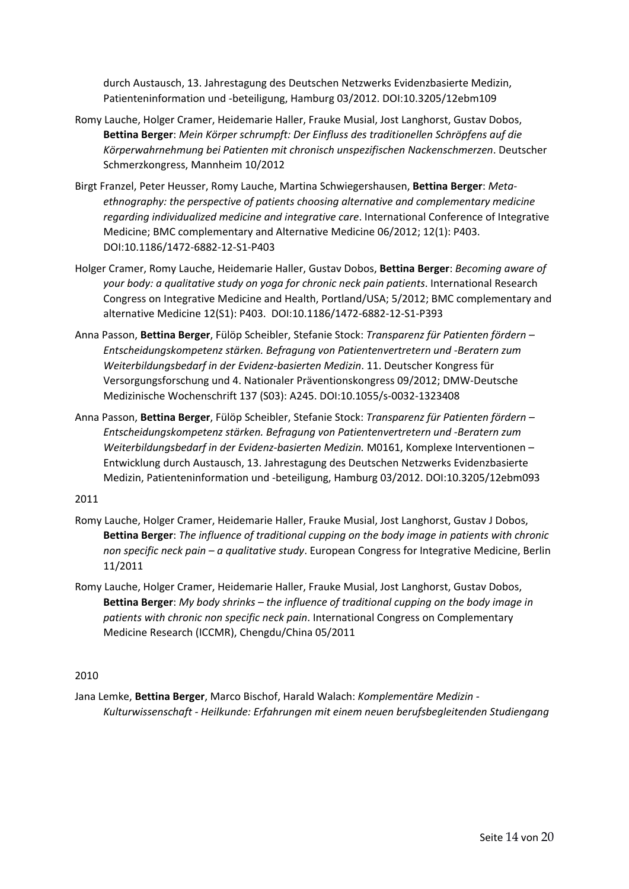durch Austausch, 13. Jahrestagung des Deutschen Netzwerks Evidenzbasierte Medizin, Patienteninformation und -beteiligung, Hamburg 03/2012. DOI:10.3205/12ebm109

- Romy Lauche, Holger Cramer, Heidemarie Haller, Frauke Musial, Jost Langhorst, Gustav Dobos, **Bettina Berger**: *Mein Körper schrumpft: Der Einfluss des traditionellen Schröpfens auf die Körperwahrnehmung bei Patienten mit chronisch unspezifischen Nackenschmerzen*. Deutscher Schmerzkongress, Mannheim 10/2012
- Birgt Franzel, Peter Heusser, Romy Lauche, Martina Schwiegershausen, **Bettina Berger**: *Metaethnography: the perspective of patients choosing alternative and complementary medicine regarding individualized medicine and integrative care*. International Conference of Integrative Medicine; BMC complementary and Alternative Medicine 06/2012; 12(1): P403. DOI:10.1186/1472-6882-12-S1-P403
- Holger Cramer, Romy Lauche, Heidemarie Haller, Gustav Dobos, **Bettina Berger**: *Becoming aware of your body: a qualitative study on yoga for chronic neck pain patients*. International Research Congress on Integrative Medicine and Health, Portland/USA; 5/2012; BMC complementary and alternative Medicine 12(S1): P403. DOI:10.1186/1472-6882-12-S1-P393
- Anna Passon, **Bettina Berger**, Fülöp Scheibler, Stefanie Stock: *Transparenz für Patienten fördern – Entscheidungskompetenz stärken. Befragung von Patientenvertretern und -Beratern zum Weiterbildungsbedarf in der Evidenz-basierten Medizin*. 11. Deutscher Kongress für Versorgungsforschung und 4. Nationaler Präventionskongress 09/2012; DMW-Deutsche Medizinische Wochenschrift 137 (S03): A245. DOI:10.1055/s-0032-1323408
- Anna Passon, **Bettina Berger**, Fülöp Scheibler, Stefanie Stock: *Transparenz für Patienten fördern – Entscheidungskompetenz stärken. Befragung von Patientenvertretern und -Beratern zum Weiterbildungsbedarf in der Evidenz-basierten Medizin.* M0161, Komplexe Interventionen – Entwicklung durch Austausch, 13. Jahrestagung des Deutschen Netzwerks Evidenzbasierte Medizin, Patienteninformation und -beteiligung, Hamburg 03/2012. DOI:10.3205/12ebm093

# 2011

- Romy Lauche, Holger Cramer, Heidemarie Haller, Frauke Musial, Jost Langhorst, Gustav J Dobos, **Bettina Berger**: *The influence of traditional cupping on the body image in patients with chronic non specific neck pain – a qualitative study*. European Congress for Integrative Medicine, Berlin 11/2011
- Romy Lauche, Holger Cramer, Heidemarie Haller, Frauke Musial, Jost Langhorst, Gustav Dobos, **Bettina Berger**: *My body shrinks – the influence of traditional cupping on the body image in patients with chronic non specific neck pain*. International Congress on Complementary Medicine Research (ICCMR), Chengdu/China 05/2011

# 2010

Jana Lemke, **Bettina Berger**, Marco Bischof, Harald Walach: *Komplementäre Medizin - Kulturwissenschaft - Heilkunde: Erfahrungen mit einem neuen berufsbegleitenden Studiengang*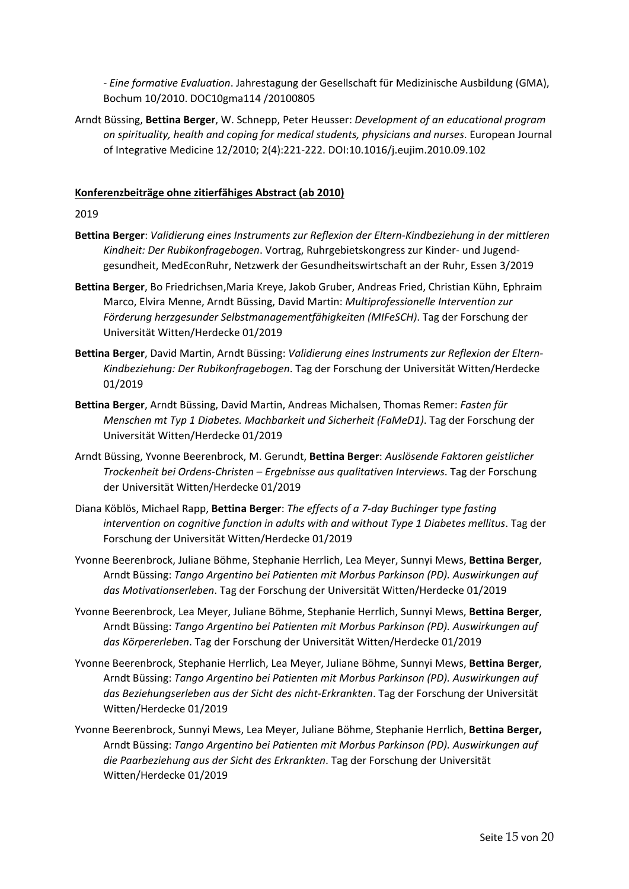*- Eine formative Evaluation*. Jahrestagung der Gesellschaft für Medizinische Ausbildung (GMA), Bochum 10/2010. DOC10gma114 /20100805

Arndt Büssing, **Bettina Berger**, W. Schnepp, Peter Heusser: *Development of an educational program on spirituality, health and coping for medical students, physicians and nurses*. European Journal of Integrative Medicine 12/2010; 2(4):221-222. DOI:10.1016/j.eujim.2010.09.102

# **Konferenzbeiträge ohne zitierfähiges Abstract (ab 2010)**

- **Bettina Berger**: *Validierung eines Instruments zur Reflexion der Eltern-Kindbeziehung in der mittleren Kindheit: Der Rubikonfragebogen*. Vortrag, Ruhrgebietskongress zur Kinder- und Jugendgesundheit, MedEconRuhr, Netzwerk der Gesundheitswirtschaft an der Ruhr, Essen 3/2019
- **Bettina Berger**, Bo Friedrichsen,Maria Kreye, Jakob Gruber, Andreas Fried, Christian Kühn, Ephraim Marco, Elvira Menne, Arndt Büssing, David Martin: *Multiprofessionelle Intervention zur Förderung herzgesunder Selbstmanagementfähigkeiten (MIFeSCH)*. Tag der Forschung der Universität Witten/Herdecke 01/2019
- **Bettina Berger**, David Martin, Arndt Büssing: *Validierung eines Instruments zur Reflexion der Eltern-Kindbeziehung: Der Rubikonfragebogen*. Tag der Forschung der Universität Witten/Herdecke 01/2019
- **Bettina Berger**, Arndt Büssing, David Martin, Andreas Michalsen, Thomas Remer: *Fasten für Menschen mt Typ 1 Diabetes. Machbarkeit und Sicherheit (FaMeD1)*. Tag der Forschung der Universität Witten/Herdecke 01/2019
- Arndt Büssing, Yvonne Beerenbrock, M. Gerundt, **Bettina Berger**: *Auslösende Faktoren geistlicher Trockenheit bei Ordens-Christen – Ergebnisse aus qualitativen Interviews*. Tag der Forschung der Universität Witten/Herdecke 01/2019
- Diana Köblös, Michael Rapp, **Bettina Berger**: *The effects of a 7-day Buchinger type fasting intervention on cognitive function in adults with and without Type 1 Diabetes mellitus*. Tag der Forschung der Universität Witten/Herdecke 01/2019
- Yvonne Beerenbrock, Juliane Böhme, Stephanie Herrlich, Lea Meyer, Sunnyi Mews, **Bettina Berger**, Arndt Büssing: *Tango Argentino bei Patienten mit Morbus Parkinson (PD). Auswirkungen auf das Motivationserleben*. Tag der Forschung der Universität Witten/Herdecke 01/2019
- Yvonne Beerenbrock, Lea Meyer, Juliane Böhme, Stephanie Herrlich, Sunnyi Mews, **Bettina Berger**, Arndt Büssing: *Tango Argentino bei Patienten mit Morbus Parkinson (PD). Auswirkungen auf das Körpererleben*. Tag der Forschung der Universität Witten/Herdecke 01/2019
- Yvonne Beerenbrock, Stephanie Herrlich, Lea Meyer, Juliane Böhme, Sunnyi Mews, **Bettina Berger**, Arndt Büssing: *Tango Argentino bei Patienten mit Morbus Parkinson (PD). Auswirkungen auf das Beziehungserleben aus der Sicht des nicht-Erkrankten*. Tag der Forschung der Universität Witten/Herdecke 01/2019
- Yvonne Beerenbrock, Sunnyi Mews, Lea Meyer, Juliane Böhme, Stephanie Herrlich, **Bettina Berger,** Arndt Büssing: *Tango Argentino bei Patienten mit Morbus Parkinson (PD). Auswirkungen auf die Paarbeziehung aus der Sicht des Erkrankten*. Tag der Forschung der Universität Witten/Herdecke 01/2019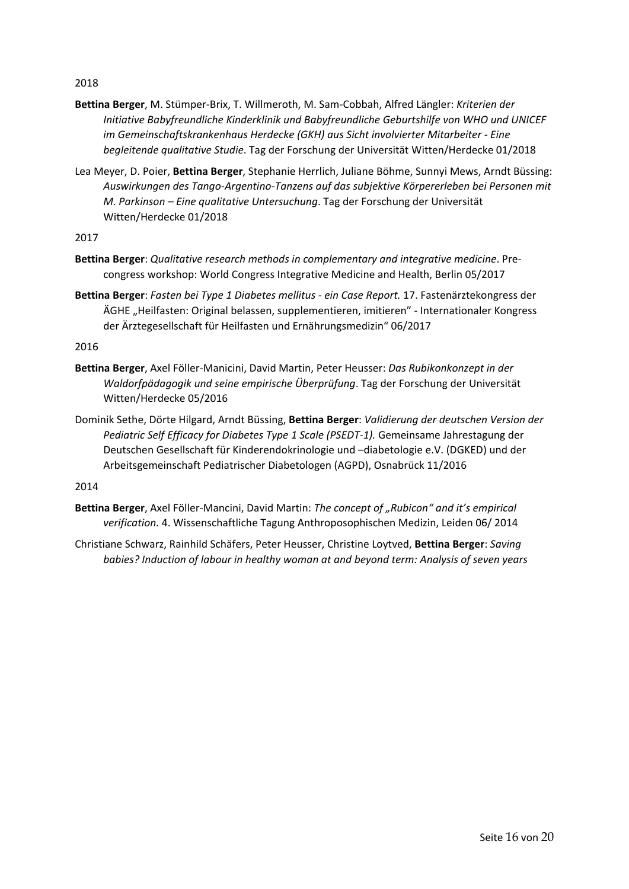2018

- **Bettina Berger**, M. Stümper-Brix, T. Willmeroth, M. Sam-Cobbah, Alfred Längler: *Kriterien der Initiative Babyfreundliche Kinderklinik und Babyfreundliche Geburtshilfe von WHO und UNICEF im Gemeinschaftskrankenhaus Herdecke (GKH) aus Sicht involvierter Mitarbeiter - Eine begleitende qualitative Studie*. Tag der Forschung der Universität Witten/Herdecke 01/2018
- Lea Meyer, D. Poier, **Bettina Berger**, Stephanie Herrlich, Juliane Böhme, Sunnyi Mews, Arndt Büssing: *Auswirkungen des Tango-Argentino-Tanzens auf das subjektive Körpererleben bei Personen mit M. Parkinson – Eine qualitative Untersuchung*. Tag der Forschung der Universität Witten/Herdecke 01/2018

2017

- **Bettina Berger**: *Qualitative research methods in complementary and integrative medicine*. Precongress workshop: World Congress Integrative Medicine and Health, Berlin 05/2017
- **Bettina Berger**: *Fasten bei Type 1 Diabetes mellitus - ein Case Report.* 17. Fastenärztekongress der ÄGHE "Heilfasten: Original belassen, supplementieren, imitieren" - Internationaler Kongress der Ärztegesellschaft für Heilfasten und Ernährungsmedizin" 06/2017

2016

- **Bettina Berger**, Axel Föller-Manicini, David Martin, Peter Heusser: *Das Rubikonkonzept in der Waldorfpädagogik und seine empirische Überprüfung*. Tag der Forschung der Universität Witten/Herdecke 05/2016
- Dominik Sethe, Dörte Hilgard, Arndt Büssing, **Bettina Berger**: *Validierung der deutschen Version der Pediatric Self Efficacy for Diabetes Type 1 Scale (PSEDT-1).* Gemeinsame Jahrestagung der Deutschen Gesellschaft für Kinderendokrinologie und –diabetologie e.V. (DGKED) und der Arbeitsgemeinschaft Pediatrischer Diabetologen (AGPD), Osnabrück 11/2016

- **Bettina Berger**, Axel Föller-Mancini, David Martin: *The concept of "Rubicon" and it's empirical verification.* 4. Wissenschaftliche Tagung Anthroposophischen Medizin, Leiden 06/ 2014
- Christiane Schwarz, Rainhild Schäfers, Peter Heusser, Christine Loytved, **Bettina Berger**: *Saving babies? Induction of labour in healthy woman at and beyond term: Analysis of seven years*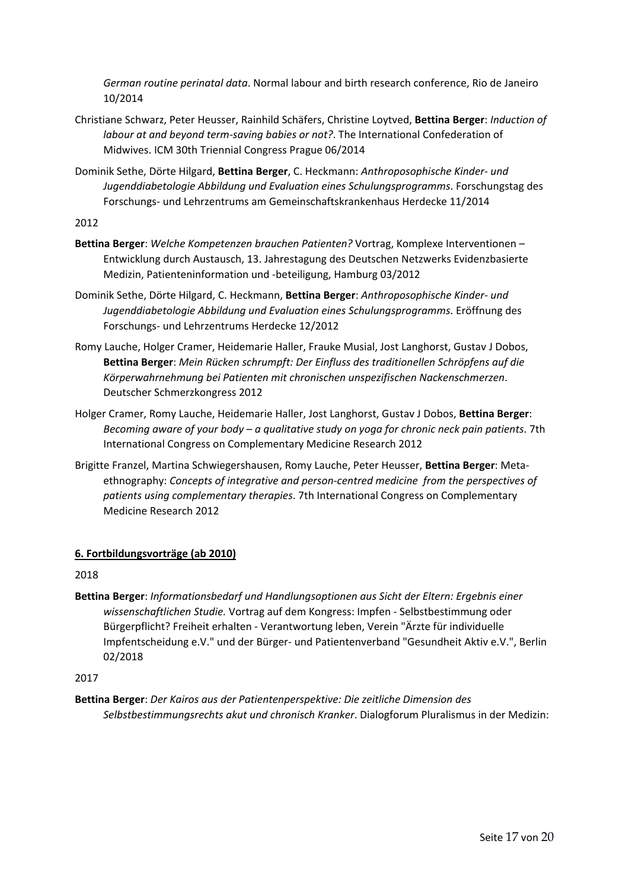*German routine perinatal data*. Normal labour and birth research conference, Rio de Janeiro 10/2014

- Christiane Schwarz, Peter Heusser, Rainhild Schäfers, Christine Loytved, **Bettina Berger**: *Induction of labour at and beyond term-saving babies or not?*. The International Confederation of Midwives. ICM 30th Triennial Congress Prague 06/2014
- Dominik Sethe, Dörte Hilgard, **Bettina Berger**, C. Heckmann: *Anthroposophische Kinder- und Jugenddiabetologie Abbildung und Evaluation eines Schulungsprogramms*. Forschungstag des Forschungs- und Lehrzentrums am Gemeinschaftskrankenhaus Herdecke 11/2014

2012

- **Bettina Berger**: *Welche Kompetenzen brauchen Patienten?* Vortrag, Komplexe Interventionen Entwicklung durch Austausch, 13. Jahrestagung des Deutschen Netzwerks Evidenzbasierte Medizin, Patienteninformation und -beteiligung, Hamburg 03/2012
- Dominik Sethe, Dörte Hilgard, C. Heckmann, **Bettina Berger**: *Anthroposophische Kinder- und Jugenddiabetologie Abbildung und Evaluation eines Schulungsprogramms*. Eröffnung des Forschungs- und Lehrzentrums Herdecke 12/2012
- Romy Lauche, Holger Cramer, Heidemarie Haller, Frauke Musial, Jost Langhorst, Gustav J Dobos, **Bettina Berger**: *Mein Rücken schrumpft: Der Einfluss des traditionellen Schröpfens auf die Körperwahrnehmung bei Patienten mit chronischen unspezifischen Nackenschmerzen*. Deutscher Schmerzkongress 2012
- Holger Cramer, Romy Lauche, Heidemarie Haller, Jost Langhorst, Gustav J Dobos, **Bettina Berger**: *Becoming aware of your body – a qualitative study on yoga for chronic neck pain patients*. 7th International Congress on Complementary Medicine Research 2012
- Brigitte Franzel, Martina Schwiegershausen, Romy Lauche, Peter Heusser, **Bettina Berger**: Metaethnography: *Concepts of integrative and person-centred medicine from the perspectives of patients using complementary therapies*. 7th International Congress on Complementary Medicine Research 2012

# **6. Fortbildungsvorträge (ab 2010)**

2018

**Bettina Berger**: *Informationsbedarf und Handlungsoptionen aus Sicht der Eltern: Ergebnis einer wissenschaftlichen Studie.* Vortrag auf dem Kongress: Impfen - Selbstbestimmung oder Bürgerpflicht? Freiheit erhalten - Verantwortung leben, Verein "Ärzte für individuelle Impfentscheidung e.V." und der Bürger- und Patientenverband "Gesundheit Aktiv e.V.", Berlin 02/2018

2017

**Bettina Berger**: *Der Kairos aus der Patientenperspektive: Die zeitliche Dimension des Selbstbestimmungsrechts akut und chronisch Kranker*. Dialogforum Pluralismus in der Medizin: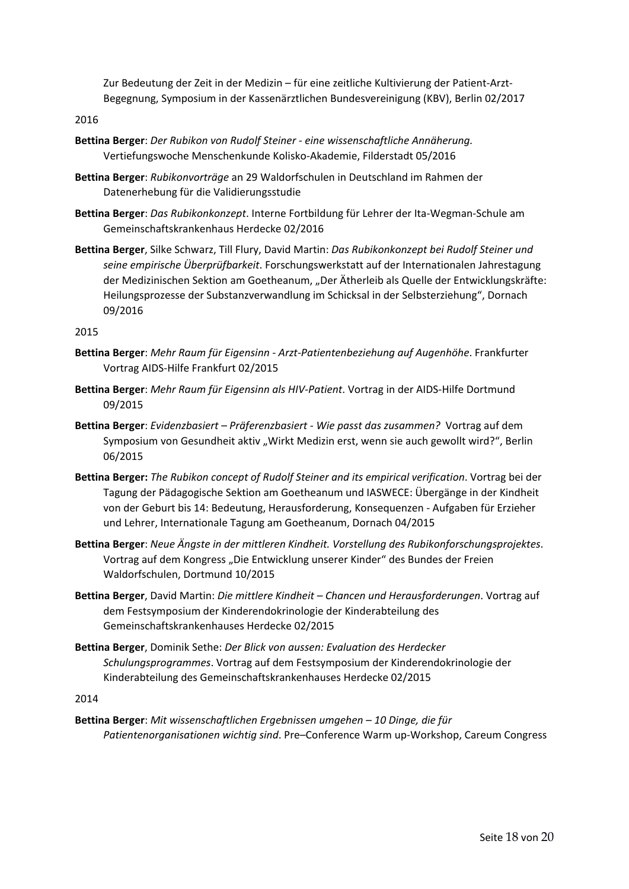Zur Bedeutung der Zeit in der Medizin – für eine zeitliche Kultivierung der Patient-Arzt-Begegnung, Symposium in der Kassenärztlichen Bundesvereinigung (KBV), Berlin 02/2017

2016

- **Bettina Berger**: *Der Rubikon von Rudolf Steiner - eine wissenschaftliche Annäherung.* Vertiefungswoche Menschenkunde Kolisko-Akademie, Filderstadt 05/2016
- **Bettina Berger**: *Rubikonvorträge* an 29 Waldorfschulen in Deutschland im Rahmen der Datenerhebung für die Validierungsstudie
- **Bettina Berger**: *Das Rubikonkonzept*. Interne Fortbildung für Lehrer der Ita-Wegman-Schule am Gemeinschaftskrankenhaus Herdecke 02/2016
- **Bettina Berger**, Silke Schwarz, Till Flury, David Martin: *Das Rubikonkonzept bei Rudolf Steiner und seine empirische Überprüfbarkeit*. Forschungswerkstatt auf der Internationalen Jahrestagung der Medizinischen Sektion am Goetheanum, "Der Ätherleib als Quelle der Entwicklungskräfte: Heilungsprozesse der Substanzverwandlung im Schicksal in der Selbsterziehung", Dornach 09/2016

2015

- **Bettina Berger**: *Mehr Raum für Eigensinn - Arzt-Patientenbeziehung auf Augenhöhe*. Frankfurter Vortrag AIDS-Hilfe Frankfurt 02/2015
- **Bettina Berger**: *Mehr Raum für Eigensinn als HIV-Patient*. Vortrag in der AIDS-Hilfe Dortmund 09/2015
- **Bettina Berger**: *Evidenzbasiert – Präferenzbasiert - Wie passt das zusammen?* Vortrag auf dem Symposium von Gesundheit aktiv "Wirkt Medizin erst, wenn sie auch gewollt wird?", Berlin 06/2015
- **Bettina Berger:** *The Rubikon concept of Rudolf Steiner and its empirical verification*. Vortrag bei der Tagung der Pädagogische Sektion am Goetheanum und IASWECE: Übergänge in der Kindheit von der Geburt bis 14: Bedeutung, Herausforderung, Konsequenzen - Aufgaben für Erzieher und Lehrer, Internationale Tagung am Goetheanum, Dornach 04/2015
- **Bettina Berger**: *Neue Ängste in der mittleren Kindheit. Vorstellung des Rubikonforschungsprojektes*. Vortrag auf dem Kongress "Die Entwicklung unserer Kinder" des Bundes der Freien Waldorfschulen, Dortmund 10/2015
- **Bettina Berger**, David Martin: *Die mittlere Kindheit – Chancen und Herausforderungen*. Vortrag auf dem Festsymposium der Kinderendokrinologie der Kinderabteilung des Gemeinschaftskrankenhauses Herdecke 02/2015
- **Bettina Berger**, Dominik Sethe: *Der Blick von aussen: Evaluation des Herdecker Schulungsprogrammes*. Vortrag auf dem Festsymposium der Kinderendokrinologie der Kinderabteilung des Gemeinschaftskrankenhauses Herdecke 02/2015

2014

**Bettina Berger**: *Mit wissenschaftlichen Ergebnissen umgehen – 10 Dinge, die für Patientenorganisationen wichtig sind*. Pre–Conference Warm up-Workshop, Careum Congress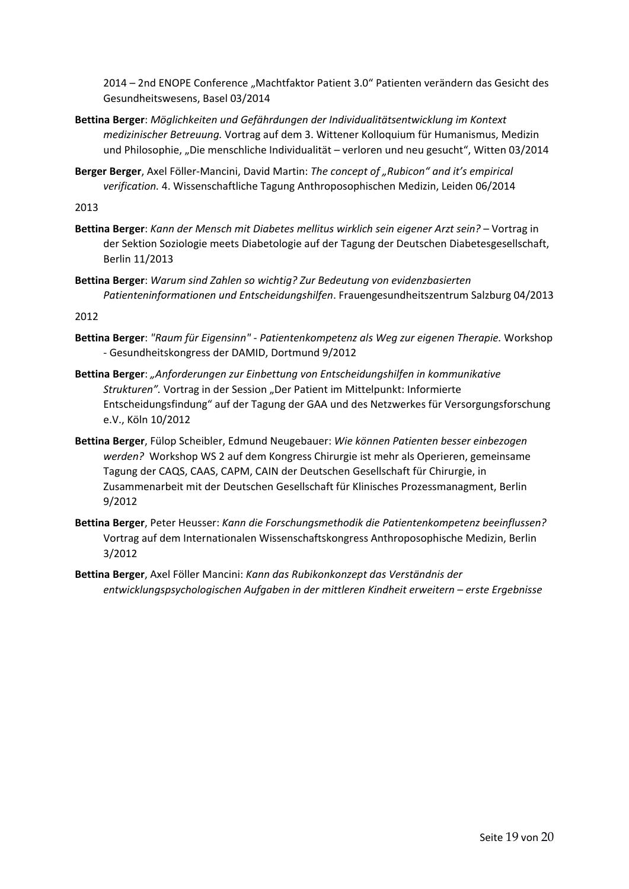2014 – 2nd ENOPE Conference "Machtfaktor Patient 3.0" Patienten verändern das Gesicht des Gesundheitswesens, Basel 03/2014

- **Bettina Berger**: *Möglichkeiten und Gefährdungen der Individualitätsentwicklung im Kontext medizinischer Betreuung.* Vortrag auf dem 3. Wittener Kolloquium für Humanismus, Medizin und Philosophie, "Die menschliche Individualität – verloren und neu gesucht", Witten 03/2014
- **Berger Berger**, Axel Föller-Mancini, David Martin: *The concept of "Rubicon" and it's empirical verification.* 4. Wissenschaftliche Tagung Anthroposophischen Medizin, Leiden 06/2014

2013

- **Bettina Berger**: *Kann der Mensch mit Diabetes mellitus wirklich sein eigener Arzt sein?* Vortrag in der Sektion Soziologie meets Diabetologie auf der Tagung der Deutschen Diabetesgesellschaft, Berlin 11/2013
- **Bettina Berger**: *Warum sind Zahlen so wichtig? Zur Bedeutung von evidenzbasierten Patienteninformationen und Entscheidungshilfen*. Frauengesundheitszentrum Salzburg 04/2013

- **Bettina Berger**: *"Raum für Eigensinn" - Patientenkompetenz als Weg zur eigenen Therapie.* Workshop - Gesundheitskongress der DAMID, Dortmund 9/2012
- **Bettina Berger**: *"Anforderungen zur Einbettung von Entscheidungshilfen in kommunikative*  Strukturen". Vortrag in der Session "Der Patient im Mittelpunkt: Informierte Entscheidungsfindung" auf der Tagung der GAA und des Netzwerkes für Versorgungsforschung e.V., Köln 10/2012
- **Bettina Berger**, Fülop Scheibler, Edmund Neugebauer: *Wie können Patienten besser einbezogen werden?* Workshop WS 2 auf dem Kongress Chirurgie ist mehr als Operieren, gemeinsame Tagung der CAQS, CAAS, CAPM, CAIN der Deutschen Gesellschaft für Chirurgie, in Zusammenarbeit mit der Deutschen Gesellschaft für Klinisches Prozessmanagment, Berlin 9/2012
- **Bettina Berger**, Peter Heusser: *Kann die Forschungsmethodik die Patientenkompetenz beeinflussen?* Vortrag auf dem Internationalen Wissenschaftskongress Anthroposophische Medizin, Berlin 3/2012
- **Bettina Berger**, Axel Föller Mancini: *Kann das Rubikonkonzept das Verständnis der entwicklungspsychologischen Aufgaben in der mittleren Kindheit erweitern – erste Ergebnisse*